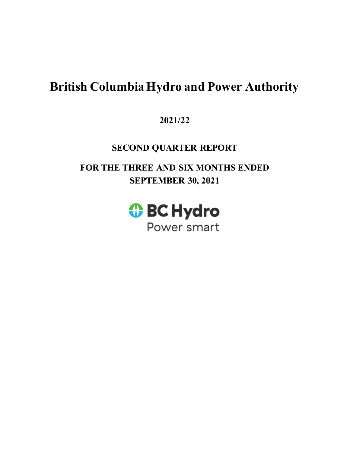# **British Columbia Hydro and Power Authority**

# **2021/22**

# **SECOND QUARTER REPORT**

**FOR THE THREE AND SIX MONTHS ENDED SEPTEMBER 30, 2021** 

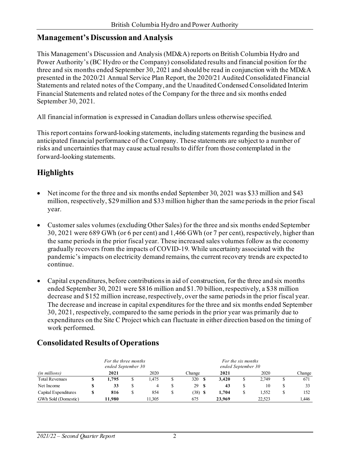## **Management's Discussion and Analysis**

This Management's Discussion and Analysis (MD&A) reports on British Columbia Hydro and Power Authority's (BC Hydro or the Company) consolidated results and financial position for the three and six months ended September 30, 2021 and should be read in conjunction with the MD&A presented in the 2020/21 Annual Service Plan Report, the 2020/21 Audited Consolidated Financial Statements and related notes of the Company, and the Unaudited Condensed Consolidated Interim Financial Statements and related notes of the Company for the three and six months ended September 30, 2021.

All financial information is expressed in Canadian dollars unless otherwise specified.

This report contains forward-looking statements, including statements regarding the business and anticipated financial performance of the Company. These statements are subject to a number of risks and uncertainties that may cause actual results to differ from those contemplated in the forward-looking statements.

# **Highlights**

- Net income for the three and six months ended September 30, 2021 was \$33 million and \$43 million, respectively, \$29 million and \$33 million higher than the same periods in the prior fiscal year.
- Customer sales volumes (excluding Other Sales) for the three and six months ended September 30, 2021 were 689 GWh (or 6 per cent) and 1,466 GWh (or 7 per cent), respectively, higher than the same periods in the prior fiscal year. These increased sales volumes follow as the economy gradually recovers from the impacts of COVID-19. While uncertainty associated with the pandemic's impacts on electricity demand remains, the current recovery trends are expected to continue.
- Capital expenditures, before contributions in aid of construction, for the three and six months ended September 30, 2021 were \$816 million and \$1.70 billion, respectively, a \$38 million decrease and \$152 million increase, respectively, over the same periods in the prior fiscal year. The decrease and increase in capital expenditures for the three and six months ended September 30, 2021, respectively, compared to the same periods in the prior year was primarily due to expenditures on the Site C Project which can fluctuate in either direction based on the timing of work performed.

|                       |   | For the three months<br>ended September 30 |        |           |     | For the six months<br>ended September 30 |   |        |        |
|-----------------------|---|--------------------------------------------|--------|-----------|-----|------------------------------------------|---|--------|--------|
| <i>(in millions)</i>  |   | 2021                                       | 2020   | Change    |     | 2021                                     |   | 2020   | Change |
| <b>Total Revenues</b> |   | 1.795                                      | 1.475  | 320       | -S  | 3.420                                    | S | 2.749  | 671    |
| Net Income            |   | 33                                         | 4      | 29        | -SS | 43                                       | S | 10     | 33     |
| Capital Expenditures  | S | 816                                        | 854    | $(38)$ \$ |     | 1.704                                    | S | 1.552  | 152    |
| GWh Sold (Domestic)   |   | 11.980                                     | 11.305 | 675       |     | 23,969                                   |   | 22.523 | 1.446  |

# **Consolidated Results of Operations**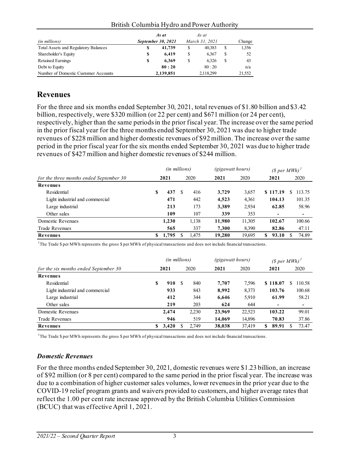| (in millions)                               |    | September 30, 2021 |   | March 31, 2021 |   | Change |
|---------------------------------------------|----|--------------------|---|----------------|---|--------|
| <b>Total Assets and Regulatory Balances</b> | \$ | 41,739             | S | 40.383         | S | 1,356  |
| Shareholder's Equity                        | \$ | 6.419              | S | 6.367          | S | 52     |
| <b>Retained Earnings</b>                    | S  | 6.369              | S | 6.326          |   | 43     |
| Debt to Equity                              |    | 80:20              |   | 80:20          |   | n/a    |
| Number of Domestic Customer Accounts        |    | 2,139,851          |   | 2,118,299      |   | 21,552 |

#### British Columbia Hydro and Power Authority

## **Revenues**

For the three and six months ended September 30, 2021, total revenues of \$1.80 billion and \$3.42 billion, respectively, were \$320 million (or 22 per cent) and \$671 million (or 24 per cent), respectively, higher than the same periods in the prior fiscal year. The increase over the same period in the prior fiscal year for the three months ended September 30, 2021 was due to higher trade revenues of \$228 million and higher domestic revenues of \$92 million. The increase over the same period in the prior fiscal year for the six months ended September 30, 2021 was due to higher trade revenues of \$427 million and higher domestic revenues of \$244 million.

|                                         |   | (in millions) |     |       | <i>(gigawatt hours)</i> |        | $(S per MWh)^T$ |             |  |  |
|-----------------------------------------|---|---------------|-----|-------|-------------------------|--------|-----------------|-------------|--|--|
| for the three months ended September 30 |   | 2021          |     | 2020  | 2021                    | 2020   | 2021            | 2020        |  |  |
| <b>Revenues</b>                         |   |               |     |       |                         |        |                 |             |  |  |
| Residential                             | S | 437           | \$. | 416   | 3,729                   | 3,657  | \$117.19        | 113.75<br>S |  |  |
| Light industrial and commercial         |   | 471           |     | 442   | 4,523                   | 4,361  | 104.13          | 101.35      |  |  |
| Large industrial                        |   | 213           |     | 173   | 3,389                   | 2,934  | 62.85           | 58.96       |  |  |
| Other sales                             |   | 109           |     | 107   | 339                     | 353    | $\,$            | -           |  |  |
| Domestic Revenues                       |   | 1,230         |     | 1,138 | 11,980                  | 11,305 | 102.67          | 100.66      |  |  |
| <b>Trade Revenues</b>                   |   | 565           |     | 337   | 7.300                   | 8.390  | 82.86           | 47.11       |  |  |
| Revenues                                | S | 1,795         |     | 1.475 | 19,280                  | 19.695 | 93.10<br>\$     | 74.89<br>S  |  |  |

1 The Trade \$ per MWh represents the gross \$ per MWh of physical transactions and does not include financial transactions.

|                                       | (in millions) |       |   | <i>(gigawatt hours)</i> |        | $(S per MWh)^T$ |              |              |  |
|---------------------------------------|---------------|-------|---|-------------------------|--------|-----------------|--------------|--------------|--|
| for the six months ended September 30 |               | 2021  |   | 2020                    | 2021   | 2020            | 2021         | 2020         |  |
| Revenues                              |               |       |   |                         |        |                 |              |              |  |
| Residential                           | S             | 910   | S | 840                     | 7,707  | 7.596           | \$118.07     | 110.58<br>S. |  |
| Light industrial and commercial       |               | 933   |   | 843                     | 8,992  | 8,373           | 103.76       | 100.68       |  |
| Large industrial                      |               | 412   |   | 344                     | 6,646  | 5,910           | 61.99        | 58.21        |  |
| Other sales                           |               | 219   |   | 203                     | 624    | 644             | -            | -            |  |
| Domestic Revenues                     |               | 2,474 |   | 2,230                   | 23,969 | 22,523          | 103.22       | 99.01        |  |
| <b>Trade Revenues</b>                 |               | 946   |   | 519                     | 14,069 | 14,896          | 70.83        | 37.86        |  |
| Revenues                              | \$            | 3,420 |   | 2.749                   | 38,038 | 37,419          | 89.91<br>\$. | 73.47        |  |

<sup>1</sup>The Trade \$ per MWh represents the gross \$ per MWh of physical transactions and does not include financial transactions.

### *Domestic Revenues*

For the three months ended September 30, 2021, domestic revenues were \$1.23 billion, an increase of \$92 million (or 8 per cent) compared to the same period in the prior fiscal year. The increase was due to a combination of higher customer sales volumes, lower revenues in the prior year due to the COVID-19 relief program grants and waivers provided to customers, and higher average rates that reflect the 1.00 per cent rate increase approved by the British Columbia Utilities Commission (BCUC) that was effective April 1, 2021.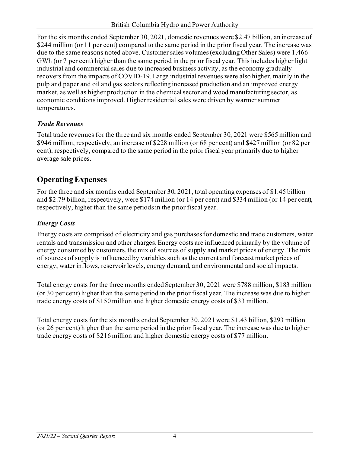For the six months ended September 30, 2021, domestic revenues were \$2.47 billion, an increase of \$244 million (or 11 per cent) compared to the same period in the prior fiscal year. The increase was due to the same reasons noted above. Customer sales volumes (excluding Other Sales) were 1,466 GWh (or 7 per cent) higher than the same period in the prior fiscal year. This includes higher light industrial and commercial sales due to increased business activity, as the economy gradually recovers from the impacts of COVID-19. Large industrial revenues were also higher, mainly in the pulp and paper and oil and gas sectors reflecting increased production and an improved energy market, as well as higher production in the chemical sector and wood manufacturing sector, as economic conditions improved. Higher residential sales were driven by warmer summer temperatures.

## *Trade Revenues*

Total trade revenues for the three and six months ended September 30, 2021 were \$565 million and \$946 million, respectively, an increase of \$228 million (or 68 per cent) and \$427 million (or 82 per cent), respectively, compared to the same period in the prior fiscal year primarily due to higher average sale prices.

# **Operating Expenses**

For the three and six months ended September 30, 2021, total operating expenses of \$1.45 billion and \$2.79 billion, respectively, were \$174 million (or 14 per cent) and \$334 million (or 14 per cent), respectively, higher than the same periodsin the prior fiscal year.

# *Energy Costs*

Energy costs are comprised of electricity and gas purchases for domestic and trade customers, water rentals and transmission and other charges. Energy costs are influenced primarily by the volume of energy consumed by customers, the mix of sources of supply and market prices of energy. The mix of sources of supply is influenced by variables such as the current and forecast market prices of energy, water inflows, reservoir levels, energy demand, and environmental and social impacts.

Total energy costs for the three months ended September 30, 2021 were \$788 million, \$183 million (or 30 per cent) higher than the same period in the prior fiscal year. The increase was due to higher trade energy costs of \$150 million and higher domestic energy costs of \$33 million.

Total energy costs for the six months ended September 30, 2021 were \$1.43 billion, \$293 million (or 26 per cent) higher than the same period in the prior fiscal year. The increase was due to higher trade energy costs of \$216 million and higher domestic energy costs of \$77 million.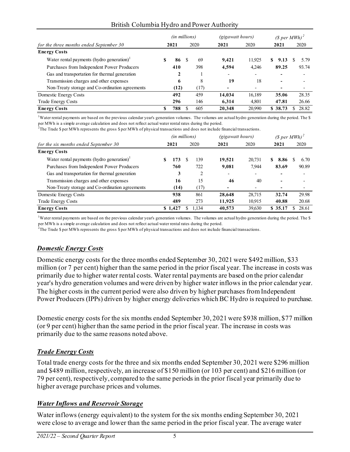#### British Columbia Hydro and Power Authority

|                                                                |  | <i>(in millions)</i><br>(gigawatt hours) |     |      |        |        | (\$ per MWh) <sup>2</sup> |                          |  |                          |  |
|----------------------------------------------------------------|--|------------------------------------------|-----|------|--------|--------|---------------------------|--------------------------|--|--------------------------|--|
| for the three months ended September 30                        |  | 2021                                     |     | 2020 | 2021   | 2020   |                           | 2021                     |  | 2020                     |  |
| <b>Energy Costs</b>                                            |  |                                          |     |      |        |        |                           |                          |  |                          |  |
| Water rental payments (hydro generation) $\text{ }^{\text{!}}$ |  | 86                                       | \$. | 69   | 9,421  | 11,925 | \$                        | 9.13                     |  | 5.79                     |  |
| Purchases from Independent Power Producers                     |  | 410                                      |     | 398  | 4,594  | 4,246  |                           | 89.25                    |  | 93.74                    |  |
| Gas and transportation for thermal generation                  |  | $\mathbf 2$                              |     |      |        |        |                           |                          |  |                          |  |
| Transmission charges and other expenses                        |  | 6                                        |     | 8    | 19     | 18     |                           | $\overline{\phantom{0}}$ |  | $\overline{\phantom{0}}$ |  |
| Non-Treaty storage and Co-ordination agreements                |  | (12)                                     |     | (17) |        |        |                           |                          |  |                          |  |
| Domestic Energy Costs                                          |  | 492                                      |     | 459  | 14,034 | 16,189 |                           | 35.06                    |  | 28.35                    |  |
| <b>Trade Energy Costs</b>                                      |  | 296                                      |     | 146  | 6,314  | 4,801  |                           | 47.81                    |  | 26.66                    |  |
| <b>Energy Costs</b>                                            |  | 788                                      |     | 605  | 20,348 | 20.990 |                           | \$38.73                  |  | 28.82                    |  |

<sup>1</sup>Water rental payments are based on the previous calendar year's generation volumes. The volumes are actual hydro generation during the period. The \$

per MWh is a simple average calculation and does not reflect actual water rental rates during the period.<br><sup>2</sup>The Trade \$ per MWh represents the gross \$ per MWh of physical transactions and does not include financial transa

|                                                                | (in millions) |              |    |       | (gigawatt hours)         |                          | $(S per MWh)^2$ |                          |   |                          |
|----------------------------------------------------------------|---------------|--------------|----|-------|--------------------------|--------------------------|-----------------|--------------------------|---|--------------------------|
| for the six months ended September 30                          |               | 2020<br>2021 |    |       | 2021                     | 2020                     | 2021            |                          |   | 2020                     |
| <b>Energy Costs</b>                                            |               |              |    |       |                          |                          |                 |                          |   |                          |
| Water rental payments (hydro generation) $\text{ }^{\text{!}}$ | S             | 173          | -S | 139   | 19,521                   | 20,731                   | S.              | 8.86                     | S | 6.70                     |
| Purchases from Independent Power Producers                     |               | 760          |    | 722   | 9,081                    | 7.944                    |                 | 83.69                    |   | 90.89                    |
| Gas and transportation for thermal generation                  |               | 3            |    | 2     | $\overline{\phantom{a}}$ | $\overline{\phantom{0}}$ |                 | $\overline{a}$           |   | $\overline{\phantom{0}}$ |
| Transmission charges and other expenses                        |               | 16           |    | 15    | 46                       | 40                       |                 | $\overline{\phantom{0}}$ |   | $\overline{\phantom{0}}$ |
| Non-Treaty storage and Co-ordination agreements                |               | (14)         |    | (17)  |                          |                          |                 |                          |   |                          |
| Domestic Energy Costs                                          |               | 938          |    | 861   | 28,648                   | 28,715                   |                 | 32.74                    |   | 29.98                    |
| <b>Trade Energy Costs</b>                                      |               | 489          |    | 273   | 11,925                   | 10.915                   |                 | 40.88                    |   | 20.68                    |
| <b>Energy Costs</b>                                            |               | \$1,427      |    | 1.134 | 40,573                   | 39,630                   |                 | \$ 35.17                 |   | 28.61                    |

<sup>1</sup>Water rental payments are based on the previous calendar year's generation volumes. The volumes are actual hydro generation during the period. The \$ per MWh is a simple average calculation and does not reflect actual water rental rates during the period.

2 The Trade \$ per MWh represents the gross \$ per MWh of physical transactions and does not include financial transactions.

#### *Domestic Energy Costs*

Domestic energy costs for the three months ended September 30, 2021 were \$492 million, \$33 million (or 7 per cent) higher than the same period in the prior fiscal year. The increase in costs was primarily due to higher water rental costs. Water rental payments are based on the prior calendar year's hydro generation volumes and were driven by higher water inflows in the prior calendar year. The higher costs in the current period were also driven by higher purchases from Independent Power Producers (IPPs) driven by higher energy deliveries which BC Hydro is required to purchase.

Domestic energy costs for the six months ended September 30, 2021 were \$938 million, \$77 million (or 9 per cent) higher than the same period in the prior fiscal year. The increase in costs was primarily due to the same reasons noted above.

#### *Trade Energy Costs*

Total trade energy costs for the three and six months ended September 30, 2021 were \$296 million and \$489 million, respectively, an increase of \$150 million (or 103 per cent) and \$216 million (or 79 per cent), respectively, compared to the same periods in the prior fiscal year primarily due to higher average purchase prices and volumes.

#### *Water Inflows and Reservoir Storage*

Water inflows (energy equivalent) to the system for the six months ending September 30, 2021 were close to average and lower than the same period in the prior fiscal year. The average water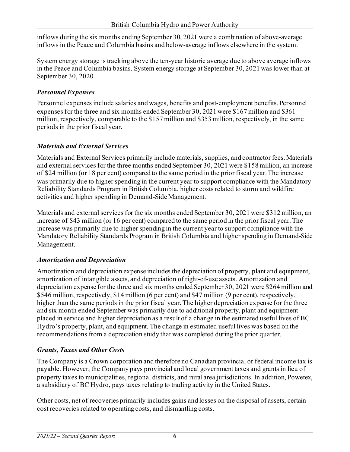inflows during the six months ending September 30, 2021 were a combination of above-average inflows in the Peace and Columbia basins and below-average inflows elsewhere in the system.

System energy storage is tracking above the ten-year historic average due to above average inflows in the Peace and Columbia basins. System energy storage at September 30, 2021 was lower than at September 30, 2020.

## *Personnel Expenses*

Personnel expenses include salaries and wages, benefits and post-employment benefits. Personnel expenses for the three and six months ended September 30, 2021 were \$167 million and \$361 million, respectively, comparable to the \$157 million and \$353 million, respectively, in the same periods in the prior fiscal year.

## *Materials and External Services*

Materials and External Services primarily include materials, supplies, and contractor fees. Materials and external services for the three months ended September 30, 2021 were \$158 million, an increase of \$24 million (or 18 per cent) compared to the same period in the prior fiscal year. The increase was primarily due to higher spending in the current year to support compliance with the Mandatory Reliability Standards Program in British Columbia, higher costs related to storm and wildfire activities and higher spending in Demand-Side Management.

Materials and external services for the six months ended September 30, 2021 were \$312 million, an increase of \$43 million (or 16 per cent) compared to the same period in the prior fiscal year. The increase was primarily due to higher spending in the current year to support compliance with the Mandatory Reliability Standards Program in British Columbia and higher spending in Demand-Side Management.

### *Amortization and Depreciation*

Amortization and depreciation expense includes the depreciation of property, plant and equipment, amortization of intangible assets, and depreciation of right-of-use assets. Amortization and depreciation expense for the three and six months ended September 30, 2021 were \$264 million and \$546 million, respectively, \$14 million (6 per cent) and \$47 million (9 per cent), respectively, higher than the same periods in the prior fiscal year. The higher depreciation expense for the three and six month ended September was primarily due to additional property, plant and equipment placed in service and higher depreciation as a result of a change in the estimated useful lives of BC Hydro's property, plant, and equipment. The change in estimated useful lives was based on the recommendations from a depreciation study that was completed during the prior quarter.

## *Grants, Taxes and Other Costs*

The Company is a Crown corporation and therefore no Canadian provincial or federal income tax is payable. However, the Company pays provincial and local government taxes and grants in lieu of property taxes to municipalities, regional districts, and rural area jurisdictions. In addition, Powerex, a subsidiary of BC Hydro, pays taxes relating to trading activity in the United States.

Other costs, net of recoveries primarily includes gains and losses on the disposal of assets, certain cost recoveries related to operating costs, and dismantling costs.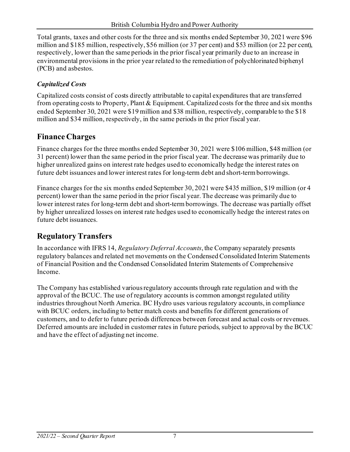Total grants, taxes and other costs for the three and six months ended September 30, 2021 were \$96 million and \$185 million, respectively, \$56 million (or 37 per cent) and \$53 million (or 22 per cent), respectively, lower than the same periods in the prior fiscal year primarily due to an increase in environmental provisions in the prior year related to the remediation of polychlorinated biphenyl (PCB) and asbestos.

## *Capitalized Costs*

Capitalized costs consist of costs directly attributable to capital expenditures that are transferred from operating costs to Property, Plant & Equipment. Capitalized costs for the three and six months ended September 30, 2021 were \$19 million and \$38 million, respectively, comparable to the \$18 million and \$34 million, respectively, in the same periods in the prior fiscal year.

# **Finance Charges**

Finance charges for the three months ended September 30, 2021 were \$106 million, \$48 million (or 31 percent) lower than the same period in the prior fiscal year. The decrease was primarily due to higher unrealized gains on interest rate hedges used to economically hedge the interest rates on future debt issuances and lower interest rates for long-term debt and short-term borrowings.

Finance charges for the six months ended September 30, 2021 were \$435 million, \$19 million (or 4 percent) lower than the same period in the prior fiscal year. The decrease was primarily due to lower interest rates for long-term debt and short-term borrowings. The decrease was partially offset by higher unrealized losses on interest rate hedges used to economically hedge the interest rates on future debt issuances.

# **Regulatory Transfers**

In accordance with IFRS 14, *Regulatory Deferral Accounts*, the Company separately presents regulatory balances and related net movements on the Condensed Consolidated Interim Statements of Financial Position and the Condensed Consolidated Interim Statements of Comprehensive Income.

The Company has established various regulatory accounts through rate regulation and with the approval of the BCUC. The use of regulatory accounts is common amongst regulated utility industries throughout North America. BC Hydro uses various regulatory accounts, in compliance with BCUC orders, including to better match costs and benefits for different generations of customers, and to defer to future periods differences between forecast and actual costs or revenues. Deferred amounts are included in customer rates in future periods, subject to approval by the BCUC and have the effect of adjusting net income.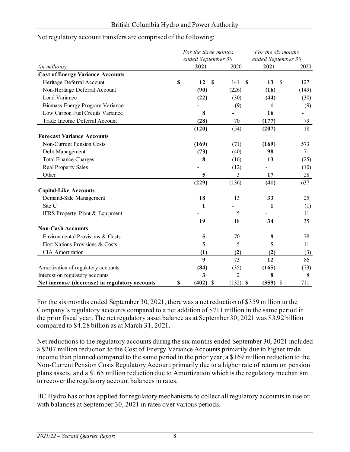#### Net regulatory account transfers are comprised of the following:

|                                                | For the three months<br>ended September 30 |               | For the six months<br>ended September 30 |            |               |       |  |
|------------------------------------------------|--------------------------------------------|---------------|------------------------------------------|------------|---------------|-------|--|
| (in millions)                                  | 2021                                       |               | 2020                                     | 2021       |               | 2020  |  |
| <b>Cost of Energy Variance Accounts</b>        |                                            |               |                                          |            |               |       |  |
| Heritage Deferral Account                      | \$<br>12                                   | <sup>\$</sup> | 141                                      | \$<br>13   | $\mathcal{S}$ | 127   |  |
| Non-Heritage Deferral Account                  | (90)                                       |               | (226)                                    | (16)       |               | (149) |  |
| Load Variance                                  | (22)                                       |               | (30)                                     | (44)       |               | (30)  |  |
| Biomass Energy Program Variance                |                                            |               | (9)                                      | 1          |               | (9)   |  |
| Low Carbon Fuel Credits Variance               | 8                                          |               |                                          | 16         |               |       |  |
| Trade Income Deferral Account                  | (28)                                       |               | 70                                       | (177)      |               | 79    |  |
|                                                | (120)                                      |               | (54)                                     | (207)      |               | 18    |  |
| <b>Forecast Variance Accounts</b>              |                                            |               |                                          |            |               |       |  |
| <b>Non-Current Pension Costs</b>               | (169)                                      |               | (71)                                     | (169)      |               | 573   |  |
| Debt Management                                | (73)                                       |               | (40)                                     | 98         |               | 71    |  |
| <b>Total Finance Charges</b>                   | 8                                          |               | (16)                                     | 13         |               | (25)  |  |
| <b>Real Property Sales</b>                     |                                            |               | (12)                                     |            |               | (10)  |  |
| Other                                          | 5                                          |               | 3                                        | 17         |               | 28    |  |
|                                                | (229)                                      |               | (136)                                    | (41)       |               | 637   |  |
| <b>Capital-Like Accounts</b>                   |                                            |               |                                          |            |               |       |  |
| Demand-Side Management                         | 18                                         |               | 13                                       | 33         |               | 25    |  |
| Site C                                         | 1                                          |               |                                          | 1          |               | (1)   |  |
| IFRS Property, Plant & Equipment               |                                            |               | 5                                        |            |               | 11    |  |
|                                                | 19                                         |               | 18                                       | 34         |               | 35    |  |
| <b>Non-Cash Accounts</b>                       |                                            |               |                                          |            |               |       |  |
| Environmental Provisions & Costs               | 5                                          |               | 70                                       | 9          |               | 78    |  |
| First Nations Provisions & Costs               | 5                                          |               | 5                                        | 5          |               | 11    |  |
| <b>CIA</b> Amortization                        | (1)                                        |               | (2)                                      | (2)        |               | (3)   |  |
|                                                | $\boldsymbol{9}$                           |               | 73                                       | 12         |               | 86    |  |
| Amortization of regulatory accounts            | (84)                                       |               | (35)                                     | (165)      |               | (73)  |  |
| Interest on regulatory accounts                | 3                                          |               | $\overline{c}$                           | 8          |               | 8     |  |
| Net increase (decrease) in regulatory accounts | \$<br>$(402)$ \$                           |               | $(132)$ \$                               | $(359)$ \$ |               | 711   |  |

For the six months ended September 30, 2021, there was a net reduction of \$359 million to the Company's regulatory accounts compared to a net addition of \$711 million in the same period in the prior fiscal year. The net regulatory asset balance as at September 30, 2021 was \$3.92 billion compared to \$4.28 billion as at March 31, 2021.

Net reductions to the regulatory accounts during the six months ended September 30, 2021 included a \$207 million reduction to the Cost of Energy Variance Accounts primarily due to higher trade income than planned compared to the same period in the prior year, a \$169 million reduction to the Non-Current Pension Costs Regulatory Account primarily due to a higher rate of return on pension plans assets, and a \$165 million reduction due to Amortization which is the regulatory mechanism to recover the regulatory account balances in rates.

BC Hydro has or has applied for regulatory mechanisms to collect all regulatory accounts in use or with balances at September 30, 2021 in rates over various periods.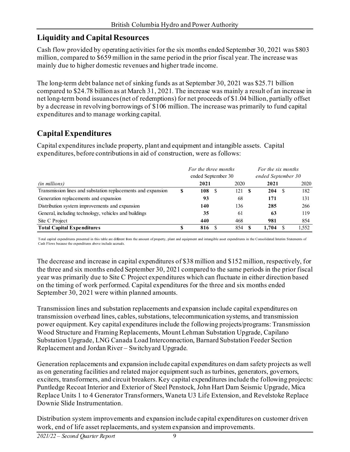# **Liquidity and Capital Resources**

Cash flow provided by operating activities for the six months ended September 30, 2021 was \$803 million, compared to \$659 million in the same period in the prior fiscal year. The increase was mainly due to higher domestic revenues and higher trade income.

The long-term debt balance net of sinking funds as at September 30, 2021 was \$25.71 billion compared to \$24.78 billion as at March 31, 2021. The increase was mainly a result of an increase in net long-term bond issuances (net of redemptions) for net proceeds of \$1.04 billion, partially offset by a decrease in revolving borrowings of \$106 million.The increase was primarily to fund capital expenditures and to manage working capital.

# **Capital Expenditures**

Capital expenditures include property, plant and equipment and intangible assets. Capital expenditures, before contributions in aid of construction, were as follows:

|                                                              | For the three months |                    |  | For the six months |      |                    |  |       |  |
|--------------------------------------------------------------|----------------------|--------------------|--|--------------------|------|--------------------|--|-------|--|
|                                                              |                      | ended September 30 |  |                    |      | ended September 30 |  |       |  |
| <i>(in millions)</i>                                         |                      | 2021               |  | 2020               |      | 2021               |  | 2020  |  |
| Transmission lines and substation replacements and expansion | S                    | 108                |  | 121                | - \$ | 204                |  | 182   |  |
| Generation replacements and expansion                        |                      | 93                 |  | 68                 |      | 171                |  | 131   |  |
| Distribution system improvements and expansion               |                      | 140                |  | 136                |      | 285                |  | 266   |  |
| General, including technology, vehicles and buildings        |                      | 35                 |  | 61                 |      | 63                 |  | 119   |  |
| Site C Project                                               |                      | 440                |  | 468                |      | 981                |  | 854   |  |
| <b>Total Capital Expenditures</b>                            |                      | 816                |  | 854                |      | 1,704              |  | 1,552 |  |

Total capital expenditures presented in this table are different from the amount of property, plant and equipment and intangible asset expenditures in the Consolidated Interim Statements of Cash Flows because the expenditures above include accruals.

The decrease and increase in capital expenditures of \$38 million and \$152 million, respectively, for the three and six months ended September 30, 2021 compared to the same periods in the prior fiscal year was primarily due to Site C Project expenditures which can fluctuate in either direction based on the timing of work performed. Capital expenditures for the three and six months ended September 30, 2021 were within planned amounts.

Transmission lines and substation replacements and expansion include capital expenditures on transmission overhead lines, cables, substations, telecommunication systems, and transmission power equipment. Key capital expenditures include the following projects/programs: Transmission Wood Structure and Framing Replacements, Mount Lehman Substation Upgrade, Capilano Substation Upgrade, LNG Canada Load Interconnection, Barnard Substation Feeder Section Replacement and Jordan River – Switchyard Upgrade.

Generation replacements and expansion include capital expenditures on dam safety projects as well as on generating facilities and related major equipment such as turbines, generators, governors, exciters, transformers, and circuit breakers. Key capital expenditures include the following projects: Puntledge Recoat Interior and Exterior of Steel Penstock, John Hart Dam Seismic Upgrade, Mica Replace Units 1 to 4 Generator Transformers, Waneta U3 Life Extension, and Revelstoke Replace Downie Slide Instrumentation.

Distribution system improvements and expansion include capital expenditures on customer driven work, end of life asset replacements, and system expansion and improvements.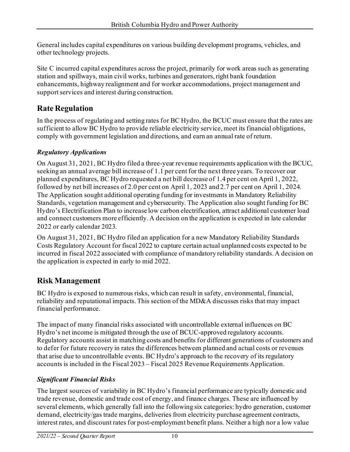General includes capital expenditures on various building development programs, vehicles, and other technology projects.

Site C incurred capital expenditures across the project, primarily for work areas such as generating station and spillways, main civil works, turbines and generators, right bank foundation enhancements, highway realignment and for worker accommodations, project management and support services and interest during construction.

# **Rate Regulation**

In the process of regulating and setting rates for BC Hydro, the BCUC must ensure that the rates are sufficient to allow BC Hydro to provide reliable electricity service, meet its financial obligations, comply with government legislation and directions, and earn an annual rate of return.

## *Regulatory Applications*

On August 31, 2021, BC Hydro filed a three-year revenue requirements application with the BCUC, seeking an annual average bill increase of 1.1 per cent for the next three years. To recover our planned expenditures, BC Hydro requested a net bill decrease of 1.4 per cent on April 1, 2022, followed by net bill increases of 2.0 per cent on April 1, 2023 and 2.7 per cent on April 1, 2024. The Application sought additional operating funding for investments in Mandatory Reliability Standards, vegetation management and cybersecurity. The Application also sought funding for BC Hydro's Electrification Plan to increase low carbon electrification, attract additional customer load and connect customers more efficiently. A decision on the application is expected in late calendar 2022 or early calendar 2023.

On August 31, 2021, BC Hydro filed an application for a new Mandatory Reliability Standards Costs Regulatory Account for fiscal 2022 to capture certain actual unplanned costs expected to be incurred in fiscal 2022 associated with compliance of mandatory reliability standards. A decision on the application is expected in early to mid 2022.

# **Risk Management**

BC Hydro is exposed to numerous risks, which can result in safety, environmental, financial, reliability and reputational impacts. This section of the MD&A discusses risks that may impact financial performance.

The impact of many financial risks associated with uncontrollable external influences on BC Hydro's net income is mitigated through the use of BCUC-approved regulatory accounts. Regulatory accounts assist in matching costs and benefits for different generations of customers and to defer for future recovery in rates the differences between planned and actual costs or revenues that arise due to uncontrollable events. BC Hydro's approach to the recovery of its regulatory accounts is included in the Fiscal 2023 – Fiscal 2025 Revenue Requirements Application.

# *Significant Financial Risks*

The largest sources of variability in BC Hydro's financial performance are typically domestic and trade revenue, domestic and trade cost of energy, and finance charges. These are influenced by several elements, which generally fall into the following six categories: hydro generation, customer demand, electricity/gas trade margins, deliveries from electricity purchase agreement contracts, interest rates, and discount rates for post-employment benefit plans. Neither a high nor a low value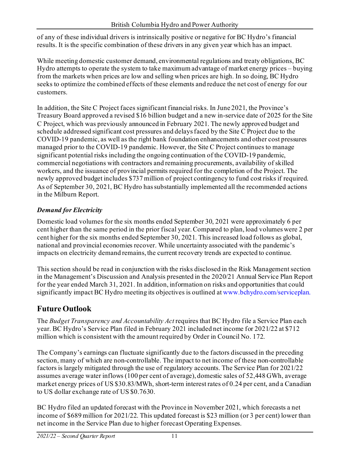of any of these individual drivers is intrinsically positive or negative for BC Hydro's financial results. It is the specific combination of these drivers in any given year which has an impact.

While meeting domestic customer demand, environmental regulations and treaty obligations, BC Hydro attempts to operate the system to take maximum advantage of market energy prices – buying from the markets when prices are low and selling when prices are high. In so doing, BC Hydro seeks to optimize the combined effects of these elements and reduce the net cost of energy for our customers.

In addition, the Site C Project faces significant financial risks. In June 2021, the Province's Treasury Board approved a revised \$16 billion budget and a new in-service date of 2025 for the Site C Project, which was previously announced in February 2021. The newly approved budget and schedule addressed significant cost pressures and delays faced by the Site C Project due to the COVID-19 pandemic, as well as the right bank foundation enhancements and other cost pressures managed prior to the COVID-19 pandemic. However, the Site C Project continues to manage significant potential risks including the ongoing continuation of the COVID-19 pandemic, commercial negotiations with contractors and remaining procurements, availability of skilled workers, and the issuance of provincial permits required for the completion of the Project. The newly approved budget includes \$737 million of project contingency to fund cost risks if required. As of September 30, 2021, BC Hydro has substantially implemented all the recommended actions in the Milburn Report.

# *Demand for Electricity*

Domestic load volumes for the six months ended September 30, 2021 were approximately 6 per cent higher than the same period in the prior fiscal year. Compared to plan, load volumes were 2 per cent higher for the six months ended September 30, 2021. This increased load follows as global, national and provincial economies recover. While uncertainty associated with the pandemic's impacts on electricity demand remains, the current recovery trends are expected to continue.

This section should be read in conjunction with the risks disclosed in the Risk Management section in the Management's Discussion and Analysis presented in the 2020/21 Annual Service Plan Report for the year ended March 31, 2021. In addition, information on risks and opportunities that could significantly impact BC Hydro meeting its objectives is outlined a[t www.bchydro.com/serviceplan.](http://www.bchydro.com/serviceplan)

# **Future Outlook**

The *Budget Transparency and Accountability Act* requires that BC Hydro file a Service Plan each year. BC Hydro's Service Plan filed in February 2021 included net income for 2021/22 at \$712 million which is consistent with the amount required by Order in Council No. 172.

The Company's earnings can fluctuate significantly due to the factors discussed in the preceding section, many of which are non-controllable. The impact to net income of these non-controllable factors is largely mitigated through the use of regulatory accounts. The Service Plan for 2021/22 assumes average water inflows (100 per cent of average), domestic sales of 52,448 GWh, average market energy prices of US \$30.83/MWh, short-term interest rates of 0.24 per cent, and a Canadian to US dollar exchange rate of US \$0.7630.

BC Hydro filed an updated forecast with the Province in November 2021, which forecasts a net income of \$689 million for 2021/22. This updated forecast is \$23 million (or 3 per cent) lower than net income in the Service Plan due to higher forecast Operating Expenses.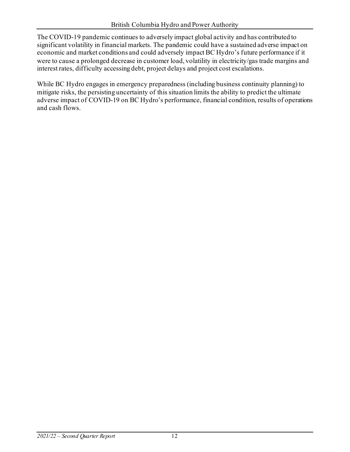The COVID-19 pandemic continues to adversely impact global activity and has contributed to significant volatility in financial markets. The pandemic could have a sustained adverse impact on economic and market conditions and could adversely impact BC Hydro's future performance if it were to cause a prolonged decrease in customer load, volatility in electricity/gas trade margins and interest rates, difficulty accessing debt, project delays and project cost escalations.

While BC Hydro engages in emergency preparedness (including business continuity planning) to mitigate risks, the persisting uncertainty of this situation limits the ability to predict the ultimate adverse impact of COVID-19 on BC Hydro's performance, financial condition, results of operations and cash flows.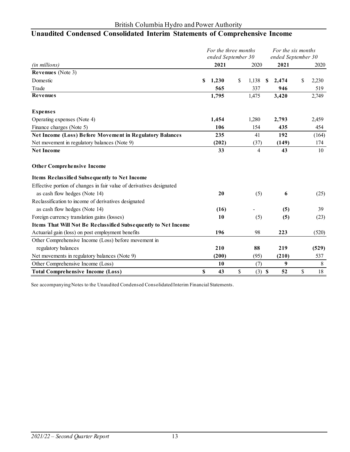# **Unaudited Condensed Consolidated Interim Statements of Comprehensive Income**

|                                                                      |    | For the three months<br>ended September 30 |                | For the six months<br>ended September 30 |       |    |       |
|----------------------------------------------------------------------|----|--------------------------------------------|----------------|------------------------------------------|-------|----|-------|
| (in millions)                                                        |    | 2021                                       | 2020           |                                          | 2021  |    | 2020  |
| <b>Revenues</b> (Note 3)                                             |    |                                            |                |                                          |       |    |       |
| Domestic                                                             | S  | 1,230                                      | \$<br>1,138    | S                                        | 2,474 | \$ | 2,230 |
| Trade                                                                |    | 565                                        | 337            |                                          | 946   |    | 519   |
| <b>Revenues</b>                                                      |    | 1,795                                      | 1,475          |                                          | 3,420 |    | 2,749 |
|                                                                      |    |                                            |                |                                          |       |    |       |
| <b>Expenses</b>                                                      |    |                                            |                |                                          |       |    |       |
| Operating expenses (Note 4)                                          |    | 1,454                                      | 1,280          |                                          | 2,793 |    | 2,459 |
| Finance charges (Note 5)                                             |    | 106                                        | 154            |                                          | 435   |    | 454   |
| <b>Net Income (Loss) Before Movement in Regulatory Balances</b>      |    | 235                                        | 41             |                                          | 192   |    | (164) |
| Net movement in regulatory balances (Note 9)                         |    | (202)                                      | (37)           |                                          | (149) |    | 174   |
| <b>Net Income</b>                                                    |    | 33                                         | 4              |                                          | 43    |    | 10    |
| <b>Other Comprehensive Income</b>                                    |    |                                            |                |                                          |       |    |       |
| Items Reclassified Subsequently to Net Income                        |    |                                            |                |                                          |       |    |       |
| Effective portion of changes in fair value of derivatives designated |    |                                            |                |                                          |       |    |       |
| as cash flow hedges (Note 14)                                        |    | 20                                         | (5)            |                                          | 6     |    | (25)  |
| Reclassification to income of derivatives designated                 |    |                                            |                |                                          |       |    |       |
| as cash flow hedges (Note 14)                                        |    | (16)                                       |                |                                          | (5)   |    | 39    |
| Foreign currency translation gains (losses)                          |    | 10                                         | (5)            |                                          | (5)   |    | (23)  |
| Items That Will Not Be Reclassified Subsequently to Net Income       |    |                                            |                |                                          |       |    |       |
| Actuarial gain (loss) on post employment benefits                    |    | 196                                        | 98             |                                          | 223   |    | (520) |
| Other Comprehensive Income (Loss) before movement in                 |    |                                            |                |                                          |       |    |       |
| regulatory balances                                                  |    | 210                                        | 88             |                                          | 219   |    | (529) |
| Net movements in regulatory balances (Note 9)                        |    | (200)                                      | (95)           |                                          | (210) |    | 537   |
| Other Comprehensive Income (Loss)                                    |    | 10                                         | (7)            |                                          | 9     |    | 8     |
| <b>Total Comprehensive Income (Loss)</b>                             | \$ | 43                                         | \$<br>$(3)$ \$ |                                          | 52    | \$ | 18    |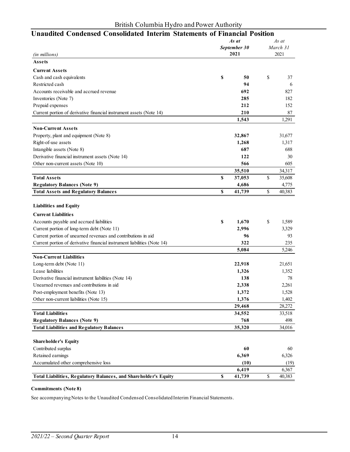| <b>Unaudited Condensed Consolidated Interim Statements of Financial Position</b> |    |              |       |          |  |  |  |  |  |
|----------------------------------------------------------------------------------|----|--------------|-------|----------|--|--|--|--|--|
|                                                                                  |    | As at        | As at |          |  |  |  |  |  |
|                                                                                  |    | September 30 |       | March 31 |  |  |  |  |  |
| (in millions)                                                                    |    | 2021         |       | 2021     |  |  |  |  |  |
| Assets                                                                           |    |              |       |          |  |  |  |  |  |
| <b>Current Assets</b>                                                            |    |              |       |          |  |  |  |  |  |
| Cash and cash equivalents                                                        | \$ | 50           | \$    | 37       |  |  |  |  |  |
| Restricted cash                                                                  |    | 94           |       | 6        |  |  |  |  |  |
| Accounts receivable and accrued revenue                                          |    | 692          |       | 827      |  |  |  |  |  |
| Inventories (Note 7)                                                             |    | 285          |       | 182      |  |  |  |  |  |
| Prepaid expenses                                                                 |    | 212          |       | 152      |  |  |  |  |  |
| Current portion of derivative financial instrument assets (Note 14)              |    | 210          |       | 87       |  |  |  |  |  |
|                                                                                  |    | 1,543        |       | 1,291    |  |  |  |  |  |
| <b>Non-Current Assets</b>                                                        |    |              |       |          |  |  |  |  |  |
| Property, plant and equipment (Note 8)                                           |    | 32,867       |       | 31,677   |  |  |  |  |  |
| Right-of-use assets                                                              |    | 1,268        |       | 1,317    |  |  |  |  |  |
| Intangible assets (Note 8)                                                       |    | 687          |       | 688      |  |  |  |  |  |
| Derivative financial instrument assets (Note 14)                                 |    | 122          |       | 30       |  |  |  |  |  |
| Other non-current assets (Note 10)                                               |    | 566          |       | 605      |  |  |  |  |  |
|                                                                                  |    | 35,510       |       | 34,317   |  |  |  |  |  |
| <b>Total Assets</b>                                                              | \$ | 37,053       | \$    | 35,608   |  |  |  |  |  |
| <b>Regulatory Balances (Note 9)</b>                                              |    | 4,686        |       | 4,775    |  |  |  |  |  |
| <b>Total Assets and Regulatory Balances</b>                                      | \$ | 41,739       | \$    | 40,383   |  |  |  |  |  |
| <b>Liabilities and Equity</b><br><b>Current Liabilities</b>                      |    |              |       |          |  |  |  |  |  |
| Accounts payable and accrued liabilities                                         | \$ | 1,670        | \$    | 1,589    |  |  |  |  |  |
| Current portion of long-term debt (Note 11)                                      |    | 2,996        |       | 3,329    |  |  |  |  |  |
| Current portion of unearned revenues and contributions in aid                    |    | 96           |       | 93       |  |  |  |  |  |
| Current portion of derivative financial instrument liabilities (Note 14)         |    | 322          |       | 235      |  |  |  |  |  |
|                                                                                  |    | 5,084        |       | 5,246    |  |  |  |  |  |
| <b>Non-Current Liabilities</b>                                                   |    |              |       |          |  |  |  |  |  |
| Long-term debt (Note 11)                                                         |    | 22,918       |       | 21,651   |  |  |  |  |  |
| Lease liabilities                                                                |    | 1,326        |       | 1,352    |  |  |  |  |  |
| Derivative financial instrument liabilities (Note 14)                            |    | 138          |       | 78       |  |  |  |  |  |
| Unearned revenues and contributions in aid                                       |    | 2,338        |       | 2,261    |  |  |  |  |  |
| Post-employment benefits (Note 13)                                               |    | 1,372        |       | 1,528    |  |  |  |  |  |
| Other non-current liabilities (Note 15)                                          |    | 1,376        |       | 1,402    |  |  |  |  |  |
|                                                                                  |    | 29,468       |       | 28,272   |  |  |  |  |  |
| <b>Total Liabilities</b>                                                         |    | 34,552       |       | 33,518   |  |  |  |  |  |
| <b>Regulatory Balances (Note 9)</b>                                              |    | 768          |       | 498      |  |  |  |  |  |
| <b>Total Liabilities and Regulatory Balances</b>                                 |    | 35,320       |       | 34,016   |  |  |  |  |  |
|                                                                                  |    |              |       |          |  |  |  |  |  |
| <b>Shareholder's Equity</b>                                                      |    |              |       |          |  |  |  |  |  |
| Contributed surplus                                                              |    | 60           |       | 60       |  |  |  |  |  |
| Retained earnings                                                                |    | 6,369        |       | 6,326    |  |  |  |  |  |
| Accumulated other comprehensive loss                                             |    | (10)         |       | (19)     |  |  |  |  |  |
|                                                                                  |    | 6,419        |       | 6,367    |  |  |  |  |  |
| Total Liabilities, Regulatory Balances, and Shareholder's Equity                 | \$ | 41,739       | \$    | 40,383   |  |  |  |  |  |

#### **Commitments (Note 8)**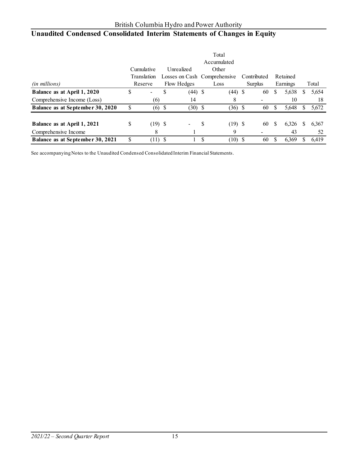# **Unaudited Condensed Consolidated Interim Statements of Changes in Equity**

|                                  | Total |                                             |  |             |               |             |             |         |              |          |   |       |
|----------------------------------|-------|---------------------------------------------|--|-------------|---------------|-------------|-------------|---------|--------------|----------|---|-------|
|                                  |       |                                             |  |             |               | Accumulated |             |         |              |          |   |       |
|                                  |       | Cumulative<br>Other<br>Unrealized           |  |             |               |             |             |         |              |          |   |       |
|                                  |       | Losses on Cash Comprehensive<br>Translation |  |             |               |             | Contributed |         |              | Retained |   |       |
| (in millions)                    |       | Reserve                                     |  | Flow Hedges |               | Loss        |             | Surplus |              | Earnings |   | Total |
| Balance as at April 1, 2020      |       | $\overline{\phantom{a}}$                    |  | $(44)$ \$   |               | $(44)$ \$   |             | 60      | S            | 5,638    | S | 5,654 |
| Comprehensive Income (Loss)      |       | (6)                                         |  | 14          |               | 8           |             |         |              | 10       |   | 18    |
| Balance as at September 30, 2020 |       | (6)                                         |  | (30)        | - \$          | $(36)$ \$   |             | 60      |              | 5,648    | S | 5,672 |
|                                  |       |                                             |  |             |               |             |             |         |              |          |   |       |
| Balance as at April 1, 2021      | S     | $(19)$ \$                                   |  |             | S             | $(19)$ \$   |             | 60      | <sup>S</sup> | 6.326    | S | 6,367 |
| Comprehensive Income             |       | 8                                           |  |             |               | 9           |             |         |              | 43       |   | 52    |
| Balance as at September 30, 2021 | S     | $(11)$ \$                                   |  |             | <sup>\$</sup> | $(10)$ \$   |             | 60      |              | 6,369    | S | 6.419 |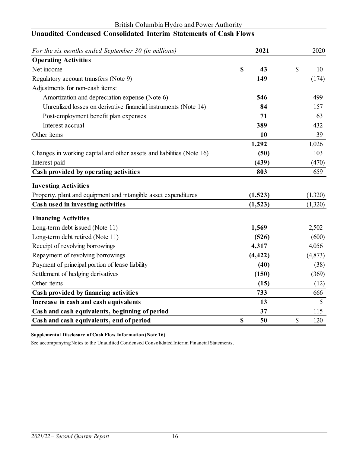| For the six months ended September 30 (in millions)                   | 2021     | 2020      |
|-----------------------------------------------------------------------|----------|-----------|
| <b>Operating Activities</b>                                           |          |           |
| Net income                                                            | \$<br>43 | \$<br>10  |
| Regulatory account transfers (Note 9)                                 | 149      | (174)     |
| Adjustments for non-cash items:                                       |          |           |
| Amortization and depreciation expense (Note 6)                        | 546      | 499       |
| Unrealized losses on derivative financial instruments (Note 14)       | 84       | 157       |
| Post-employment benefit plan expenses                                 | 71       | 63        |
| Interest accrual                                                      | 389      | 432       |
| Other items                                                           | 10       | 39        |
|                                                                       | 1,292    | 1,026     |
| Changes in working capital and other assets and liabilities (Note 16) | (50)     | 103       |
| Interest paid                                                         | (439)    | (470)     |
| Cash provided by operating activities                                 | 803      | 659       |
| <b>Investing Activities</b>                                           |          |           |
| Property, plant and equipment and intangible asset expenditures       | (1,523)  | (1,320)   |
| Cash used in investing activities                                     | (1,523)  | (1,320)   |
| <b>Financing Activities</b>                                           |          |           |
| Long-term debt issued (Note 11)                                       | 1,569    | 2,502     |
| Long-term debt retired (Note 11)                                      | (526)    | (600)     |
| Receipt of revolving borrowings                                       | 4,317    | 4,056     |
| Repayment of revolving borrowings                                     | (4, 422) | (4,873)   |
| Payment of principal portion of lease liability                       | (40)     | (38)      |
| Settlement of hedging derivatives                                     | (150)    | (369)     |
| Other items                                                           | (15)     | (12)      |
| Cash provided by financing activities                                 | 733      | 666       |
| Increase in cash and cash equivalents                                 | 13       | 5         |
| Cash and cash equivalents, beginning of period                        | 37       | 115       |
| Cash and cash equivalents, end of period                              | \$<br>50 | \$<br>120 |

#### British Columbia Hydro and Power Authority **Unaudited Condensed Consolidated Interim Statements of Cash Flows**

**Supplemental Disclosure of Cash Flow Information (Note 16)**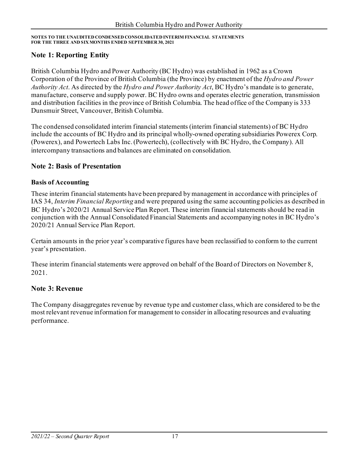### **Note 1: Reporting Entity**

British Columbia Hydro and Power Authority (BC Hydro) was established in 1962 as a Crown Corporation of the Province of British Columbia (the Province) by enactment of the *Hydro and Power Authority Act*. As directed by the *Hydro and Power Authority Act*, BC Hydro's mandate is to generate, manufacture, conserve and supply power. BC Hydro owns and operates electric generation, transmission and distribution facilities in the province of British Columbia. The head office of the Company is 333 Dunsmuir Street, Vancouver, British Columbia.

The condensed consolidated interim financial statements (interim financial statements) of BC Hydro include the accounts of BC Hydro and its principal wholly-owned operating subsidiaries Powerex Corp. (Powerex), and Powertech Labs Inc.(Powertech), (collectively with BC Hydro, the Company). All intercompany transactions and balances are eliminated on consolidation.

### **Note 2: Basis of Presentation**

#### **Basis of Accounting**

These interim financial statements have been prepared by management in accordance with principles of IAS 34, *Interim Financial Reporting* and were prepared using the same accounting policies as described in BC Hydro's 2020/21 Annual Service Plan Report. These interim financial statements should be read in conjunction with the Annual Consolidated Financial Statements and accompanying notes in BC Hydro's 2020/21 Annual Service Plan Report.

Certain amounts in the prior year's comparative figures have been reclassified to conform to the current year's presentation.

These interim financial statements were approved on behalf of the Board of Directors on November 8, 2021.

### **Note 3: Revenue**

The Company disaggregates revenue by revenue type and customer class, which are considered to be the most relevant revenue information for management to consider in allocating resources and evaluating performance.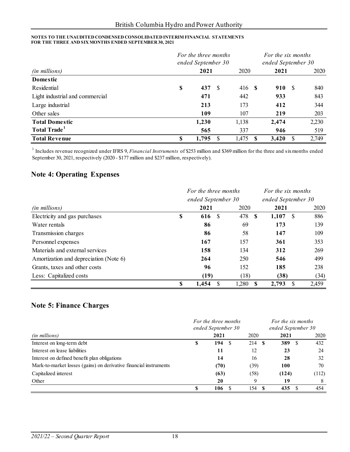|                                 | For the three months<br>ended September 30 |     |               |  | For the six months<br>ended September 30 |  |       |  |  |
|---------------------------------|--------------------------------------------|-----|---------------|--|------------------------------------------|--|-------|--|--|
| (in millions)                   | 2021                                       |     | 2020          |  | 2021                                     |  | 2020  |  |  |
| Domestic                        |                                            |     |               |  |                                          |  |       |  |  |
| Residential                     | \$<br>437                                  | -S  | 416 <b>\$</b> |  | 910 \$                                   |  | 840   |  |  |
| Light industrial and commercial | 471                                        |     | 442           |  | 933                                      |  | 843   |  |  |
| Large industrial                | 213                                        |     | 173           |  | 412                                      |  | 344   |  |  |
| Other sales                     | 109                                        |     | 107           |  | 219                                      |  | 203   |  |  |
| <b>Total Domestic</b>           | 1,230                                      |     | 1,138         |  | 2,474                                    |  | 2,230 |  |  |
| Total Trade <sup>1</sup>        | 565                                        |     | 337           |  | 946                                      |  | 519   |  |  |
| <b>Total Revenue</b>            | \$<br>1,795                                | \$. | 1,475         |  | 3,420                                    |  | 2,749 |  |  |

<sup>1</sup> Includes revenue recognized under IFRS 9, *Financial Instruments* of \$253 million and \$369 million for the three and six months ended September 30, 2021, respectively (2020 - \$177 million and \$237 million, respectively).

### **Note 4: Operating Expenses**

|                                        | For the three months |                      |           |                    | For the six months |  |
|----------------------------------------|----------------------|----------------------|-----------|--------------------|--------------------|--|
|                                        |                      | ended September 30   |           | ended September 30 |                    |  |
| ( <i>in millions</i> )                 |                      | 2021                 | 2020      | 2021               | 2020               |  |
| Electricity and gas purchases          | \$                   | <sup>\$</sup><br>616 | 478<br>-S | 1,107<br>- \$      | 886                |  |
| Water rentals                          |                      | 86                   | 69        | 173                | 139                |  |
| Transmission charges                   |                      | 86                   | 58        | 147                | 109                |  |
| Personnel expenses                     |                      | 167                  | 157       | 361                | 353                |  |
| Materials and external services        |                      | 158                  | 134       | 312                | 269                |  |
| Amortization and depreciation (Note 6) |                      | 264                  | 250       | 546                | 499                |  |
| Grants, taxes and other costs          |                      | 96                   | 152       | 185                | 238                |  |
| Less: Capitalized costs                |                      | (19)                 | (18)      | (38)               | (34)               |  |
|                                        | \$                   | 1,454                | 1,280     | 2,793<br>\$.       | 2,459              |  |

### **Note 5: Finance Charges**

|                                                                   | For the three months<br>ended September 30 |           |      | For the six months |       |  |  |
|-------------------------------------------------------------------|--------------------------------------------|-----------|------|--------------------|-------|--|--|
|                                                                   |                                            |           |      |                    |       |  |  |
| <i>(in millions)</i>                                              |                                            | 2021      | 2020 | 2021               | 2020  |  |  |
| Interest on long-term debt                                        | S                                          | 194<br>-8 | 214  | 389<br>S           | 432   |  |  |
| Interest on lease liabilities                                     |                                            | 11        | 12   | 23                 | 24    |  |  |
| Interest on defined benefit plan obligations                      |                                            | 14        | 16   | 28                 | 32    |  |  |
| Mark-to-market losses (gains) on derivative financial instruments |                                            | (70)      | (39) | 100                | 70    |  |  |
| Capitalized interest                                              |                                            | (63)      | (58) | (124)              | (112) |  |  |
| Other                                                             |                                            | 20        | Q    | 19                 | 8     |  |  |
|                                                                   |                                            | 106       | 154  | 435                | 454   |  |  |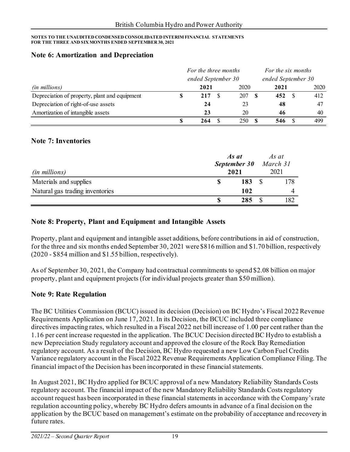#### **Note 6: Amortization and Depreciation**

|                                               | For the three months |                    |  | For the six months |                    |  |      |
|-----------------------------------------------|----------------------|--------------------|--|--------------------|--------------------|--|------|
|                                               |                      | ended September 30 |  |                    | ended September 30 |  |      |
| <i>(in millions)</i>                          |                      | 2021               |  | 2020               | 2021               |  | 2020 |
| Depreciation of property, plant and equipment |                      | 217                |  | 207                | 452                |  | 412  |
| Depreciation of right-of-use assets           |                      | 24                 |  | 23                 | 48                 |  | 47   |
| Amortization of intangible assets             |                      | 23                 |  | 20                 | 46                 |  | 40   |
|                                               |                      | 264                |  | 250                | 546                |  | 499  |

#### **Note 7: Inventories**

| <i>(in millions)</i>            | As at<br>September 30<br>2021 |     | As at<br>March 31<br>2021 |
|---------------------------------|-------------------------------|-----|---------------------------|
| Materials and supplies          |                               | 183 | 178                       |
| Natural gas trading inventories |                               | 102 |                           |
|                                 |                               | 285 | 182                       |

### **Note 8: Property, Plant and Equipment and Intangible Assets**

Property, plant and equipment and intangible asset additions, before contributions in aid of construction, for the three and six months ended September 30, 2021 were \$816 million and \$1.70 billion, respectively (2020 - \$854 million and \$1.55 billion, respectively).

As of September 30, 2021, the Company had contractual commitments to spend \$2.08 billion on major property, plant and equipment projects (for individual projects greater than \$50 million).

### **Note 9: Rate Regulation**

The BC Utilities Commission (BCUC) issued its decision (Decision) on BC Hydro's Fiscal 2022 Revenue Requirements Application on June 17, 2021. In its Decision, the BCUC included three compliance directives impacting rates, which resulted in a Fiscal 2022 net bill increase of 1.00 per cent rather than the 1.16 per cent increase requested in the application. The BCUC Decision directed BC Hydro to establish a new Depreciation Study regulatory account and approved the closure of the Rock Bay Remediation regulatory account. As a result of the Decision, BC Hydro requested a new Low Carbon Fuel Credits Variance regulatory account in the Fiscal 2022 Revenue Requirements Application Compliance Filing. The financial impact of the Decision has been incorporated in these financial statements.

In August 2021, BC Hydro applied for BCUC approval of a new Mandatory Reliability Standards Costs regulatory account. The financial impact of the new Mandatory Reliability Standards Costs regulatory account request has been incorporated in these financial statements in accordance with the Company's rate regulation accounting policy, whereby BC Hydro defers amounts in advance of a final decision on the application by the BCUC based on management's estimate on the probability of acceptance and recovery in future rates.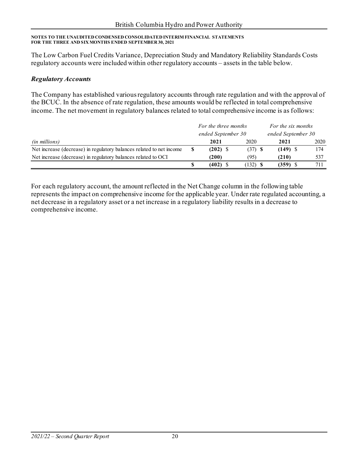The Low Carbon Fuel Credits Variance, Depreciation Study and Mandatory Reliability Standards Costs regulatory accounts were included within other regulatory accounts – assets in the table below.

#### *Regulatory Accounts*

The Company has established various regulatory accounts through rate regulation and with the approval of the BCUC. In the absence of rate regulation, these amounts would be reflected in total comprehensive income. The net movement in regulatory balances related to total comprehensive income is as follows:

|                                                                      | For the three months |            | For the six months |      |  |
|----------------------------------------------------------------------|----------------------|------------|--------------------|------|--|
|                                                                      | ended September 30   |            | ended September 30 |      |  |
| (in millions)                                                        | 2021                 | 2020       | 2021               | 2020 |  |
| Net increase (decrease) in regulatory balances related to net income | $(202)$ \$           | $(37)$ \$  | $(149)$ \$         | 174  |  |
| Net increase (decrease) in regulatory balances related to OCI        | (200)                | (95)       | (210)              | 537  |  |
|                                                                      | $(402)$ \$           | $(132)$ \$ | (359) S            | 711  |  |

For each regulatory account, the amount reflected in the Net Change column in the following table represents the impact on comprehensive income for the applicable year. Under rate regulated accounting, a net decrease in a regulatory asset or a net increase in a regulatory liability results in a decrease to comprehensive income.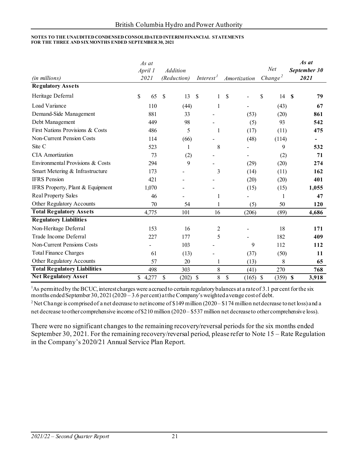| (in millions)                       | As at<br>April 1<br>2021 | <b>Addition</b><br>(Reduction) | Interest <sup>1</sup>         | Amortization     | Net<br>Change <sup>2</sup> | As at<br>September 30<br>2021      |
|-------------------------------------|--------------------------|--------------------------------|-------------------------------|------------------|----------------------------|------------------------------------|
| <b>Regulatory Assets</b>            |                          |                                |                               |                  |                            |                                    |
| Heritage Deferral                   | $\mathbb{S}$<br>65       | $\mathcal{S}$<br>13            | <sup>\$</sup><br>$\mathbf{1}$ | \$               | \$<br>14                   | $\mathbf S$<br>79                  |
| Load Variance                       | 110                      | (44)                           | 1                             |                  | (43)                       | 67                                 |
| Demand-Side Management              | 881                      | 33                             |                               | (53)             | (20)                       | 861                                |
| Debt Management                     | 449                      | 98                             |                               | (5)              | 93                         | 542                                |
| First Nations Provisions & Costs    | 486                      | 5                              | $\mathbf{1}$                  | (17)             | (11)                       | 475                                |
| Non-Current Pension Costs           | 114                      | (66)                           |                               | (48)             | (114)                      |                                    |
| Site C                              | 523                      | 1                              | 8                             |                  | 9                          | 532                                |
| <b>CIA</b> Amortization             | 73                       | (2)                            |                               |                  | (2)                        | 71                                 |
| Environmental Provisions & Costs    | 294                      | 9                              |                               | (29)             | (20)                       | 274                                |
| Smart Metering & Infrastructure     | 173                      |                                | 3                             | (14)             | (11)                       | 162                                |
| <b>IFRS</b> Pension                 | 421                      |                                |                               | (20)             | (20)                       | 401                                |
| IFRS Property, Plant & Equipment    | 1,070                    |                                |                               | (15)             | (15)                       | 1,055                              |
| <b>Real Property Sales</b>          | 46                       |                                | 1                             |                  | 1                          | 47                                 |
| Other Regulatory Accounts           | 70                       | 54                             | 1                             | (5)              | 50                         | 120                                |
| <b>Total Regulatory Assets</b>      | 4,775                    | 101                            | 16                            | (206)            | (89)                       | 4,686                              |
| <b>Regulatory Liabilities</b>       |                          |                                |                               |                  |                            |                                    |
| Non-Heritage Deferral               | 153                      | 16                             | 2                             |                  | 18                         | 171                                |
| Trade Income Deferral               | 227                      | 177                            | 5                             |                  | 182                        | 409                                |
| <b>Non-Current Pensions Costs</b>   |                          | 103                            |                               | 9                | 112                        | 112                                |
| <b>Total Finance Charges</b>        | 61                       | (13)                           |                               | (37)             | (50)                       | 11                                 |
| Other Regulatory Accounts           | 57                       | 20                             | $\mathbf{1}$                  | (13)             | 8                          | 65                                 |
| <b>Total Regulatory Liabilities</b> | 498                      | 303                            | $8\,$                         | (41)             | 270                        | 768                                |
| <b>Net Regulatory Asset</b>         | 4,277<br>$\mathbb{S}$    | $\mathbb{S}$<br>(202)          | 8<br>$\mathcal{S}$            | \$<br>$(165)$ \$ | (359)                      | $\boldsymbol{\mathsf{S}}$<br>3,918 |

<sup>1</sup>As permitted by the BCUC, interest charges were accrued to certain regulatory balances at a rate of 3.1 per cent for the six

months ended September 30, 2021 (2020 – 3.6 per cent) at the Company's weighted a verage cost of debt.<br><sup>2</sup> Net Change is comprised of a net decrease to net income of \$149 million (2020 – \$174 million net decrease to net l net decrease to other comprehensive income of \$210 million (2020 – \$537 million net decrease to other comprehensive loss).

There were no significant changes to the remaining recovery/reversal periods for the six months ended September 30, 2021. For the remaining recovery/reversal period, please refer to Note 15 – Rate Regulation in the Company's 2020/21 Annual Service Plan Report.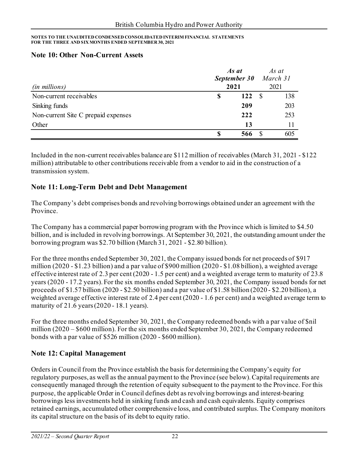#### **Note 10: Other Non-Current Assets**

| <i>(in millions)</i>                |    | As at<br>September 30<br>2021 |      | As at<br>March 31<br>2021 |
|-------------------------------------|----|-------------------------------|------|---------------------------|
| Non-current receivables             | \$ | 122                           | - \$ | 138                       |
| Sinking funds                       |    | 209                           |      | 203                       |
| Non-current Site C prepaid expenses |    | 222                           |      | 253                       |
| Other                               |    | 13                            |      |                           |
|                                     | S  | 566                           |      | 605                       |

Included in the non-current receivables balance are \$112 million of receivables (March 31, 2021 - \$122 million) attributable to other contributions receivable from a vendor to aid in the construction of a transmission system.

### **Note 11: Long-Term Debt and Debt Management**

The Company's debt comprises bonds and revolving borrowings obtained under an agreement with the Province.

The Company has a commercial paper borrowing program with the Province which is limited to \$4.50 billion, and is included in revolving borrowings. At September 30, 2021, the outstanding amount under the borrowing program was \$2.70 billion (March 31, 2021 - \$2.80 billion).

For the three months ended September 30, 2021, the Company issued bonds for net proceeds of \$917 million (2020 - \$1.23 billion) and a par value of \$900 million (2020 - \$1.08 billion), a weighted average effective interest rate of 2.3 per cent (2020 - 1.5 per cent) and a weighted average term to maturity of 23.8 years (2020 - 17.2 years). For the six months ended September 30, 2021, the Company issued bonds for net proceeds of \$1.57 billion (2020 - \$2.50 billion) and a par value of \$1.58 billion (2020 - \$2.20 billion), a weighted average effective interest rate of 2.4 per cent (2020 - 1.6 per cent) and a weighted average term to maturity of 21.6 years (2020 - 18.1 years).

For the three months ended September 30, 2021, the Company redeemed bonds with a par value of \$nil million (2020 – \$600 million). For the six months ended September 30, 2021, the Company redeemed bonds with a par value of \$526 million (2020 - \$600 million).

### **Note 12: Capital Management**

Orders in Council from the Province establish the basis for determining the Company's equity for regulatory purposes, as well as the annual payment to the Province (see below). Capital requirements are consequently managed through the retention of equity subsequent to the payment to the Province. For this purpose, the applicable Order in Council defines debt as revolving borrowings and interest-bearing borrowings less investments held in sinking funds and cash and cash equivalents. Equity comprises retained earnings, accumulated other comprehensive loss, and contributed surplus. The Company monitors its capital structure on the basis of its debt to equity ratio.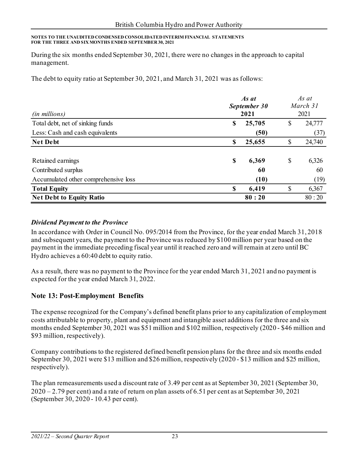During the six months ended September 30, 2021, there were no changes in the approach to capital management.

The debt to equity ratio at September 30, 2021, and March 31, 2021 was as follows:

|                                      |              | As at  |          |        |  |
|--------------------------------------|--------------|--------|----------|--------|--|
|                                      | September 30 |        | March 31 |        |  |
| (in millions)                        |              | 2021   |          | 2021   |  |
| Total debt, net of sinking funds     | \$           | 25,705 | \$       | 24,777 |  |
| Less: Cash and cash equivalents      |              | (50)   |          | (37)   |  |
| <b>Net Debt</b>                      | \$           | 25,655 | \$       | 24,740 |  |
|                                      |              |        |          |        |  |
| Retained earnings                    | \$           | 6,369  | \$       | 6,326  |  |
| Contributed surplus                  |              | 60     |          | 60     |  |
| Accumulated other comprehensive loss |              | (10)   |          | (19)   |  |
| <b>Total Equity</b>                  | S            | 6,419  | \$       | 6,367  |  |
| <b>Net Debt to Equity Ratio</b>      |              | 80:20  |          | 80:20  |  |

#### *Dividend Payment to the Province*

In accordance with Order in Council No. 095/2014 from the Province, for the year ended March 31, 2018 and subsequent years, the payment to the Province was reduced by \$100 million per year based on the payment in the immediate preceding fiscal year until it reached zero and will remain at zero until BC Hydro achieves a 60:40 debt to equity ratio.

As a result, there was no payment to the Province for the year ended March 31, 2021 and no payment is expected for the year ended March 31, 2022.

### **Note 13: Post-Employment Benefits**

The expense recognized for the Company's defined benefit plans prior to any capitalization of employment costs attributable to property, plant and equipment and intangible asset additions for the three and six months ended September 30, 2021 was \$51 million and \$102 million, respectively (2020 - \$46 million and \$93 million, respectively).

Company contributions to the registered defined benefit pension plans for the three and six months ended September 30, 2021 were \$13 million and \$26 million, respectively (2020 - \$13 million and \$25 million, respectively).

The plan remeasurements used a discount rate of 3.49 per cent as at September 30, 2021 (September 30,  $2020 - 2.79$  per cent) and a rate of return on plan assets of 6.51 per cent as at September 30, 2021 (September 30, 2020 - 10.43 per cent).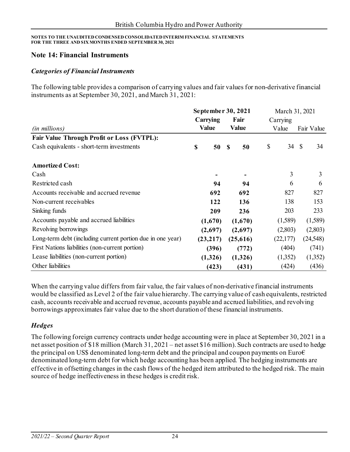#### **Note 14: Financial Instruments**

#### *Categories of Financial Instruments*

The following table provides a comparison of carrying values and fair values for non-derivative financial instruments as at September 30, 2021, and March 31, 2021:

|                                                            | September 30, 2021 |               |              | March 31, 2021 |          |               |            |
|------------------------------------------------------------|--------------------|---------------|--------------|----------------|----------|---------------|------------|
|                                                            | Carrying           |               | Fair         |                | Carrying |               |            |
| (in millions)                                              | <b>Value</b>       |               | <b>Value</b> |                | Value    |               | Fair Value |
| <b>Fair Value Through Profit or Loss (FVTPL):</b>          |                    |               |              |                |          |               |            |
| Cash equivalents - short-term investments                  | \$<br>50           | <sup>\$</sup> | 50           | \$             | 34       | $\mathcal{S}$ | 34         |
| <b>Amortized Cost:</b>                                     |                    |               |              |                |          |               |            |
| Cash                                                       |                    |               |              |                | 3        |               | 3          |
| Restricted cash                                            | 94                 |               | 94           |                | 6        |               | 6          |
| Accounts receivable and accrued revenue                    | 692                |               | 692          |                | 827      |               | 827        |
| Non-current receivables                                    | 122                |               | 136          |                | 138      |               | 153        |
| Sinking funds                                              | 209                |               | 236          |                | 203      |               | 233        |
| Accounts payable and accrued liabilities                   | (1,670)            |               | (1,670)      |                | (1,589)  |               | (1,589)    |
| Revolving borrowings                                       | (2,697)            |               | (2,697)      |                | (2,803)  |               | (2,803)    |
| Long-term debt (including current portion due in one year) | (23, 217)          |               | (25, 616)    |                | (22,177) |               | (24, 548)  |
| First Nations liabilities (non-current portion)            | (396)              |               | (772)        |                | (404)    |               | (741)      |
| Lease liabilities (non-current portion)                    | (1,326)            |               | (1,326)      |                | (1,352)  |               | (1,352)    |
| Other liabilities                                          | (423)              |               | (431)        |                | (424)    |               | (436)      |

When the carrying value differs from fair value, the fair values of non-derivative financial instruments would be classified as Level 2 of the fair value hierarchy. The carrying value of cash equivalents, restricted cash, accounts receivable and accrued revenue, accounts payable and accrued liabilities, and revolving borrowings approximates fair value due to the short duration of these financial instruments.

#### *Hedges*

The following foreign currency contracts under hedge accounting were in place at September 30, 2021 in a net asset position of \$18 million (March 31, 2021 – net asset \$16 million). Such contracts are used to hedge the principal on US\$ denominated long-term debt and the principal and coupon payments on Euro $\epsilon$ denominated long-term debt for which hedge accounting has been applied. The hedging instruments are effective in offsetting changes in the cash flows of the hedged item attributed to the hedged risk. The main source of hedge ineffectiveness in these hedges is credit risk.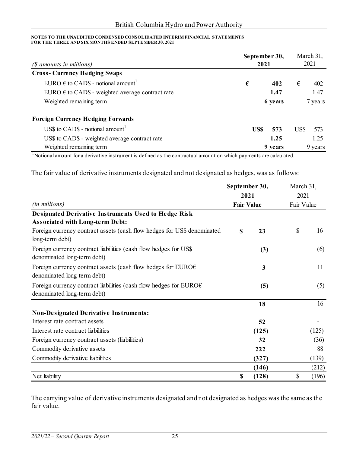| (\$ amounts in millions)                                  | September 30,<br>2021 | March 31,<br>2021 |
|-----------------------------------------------------------|-----------------------|-------------------|
| <b>Cross-Currency Hedging Swaps</b>                       |                       |                   |
| EURO $\epsilon$ to CAD\$ - notional amount <sup>1</sup>   | €<br>402              | €<br>402          |
| EURO $\epsilon$ to CAD\$ - weighted average contract rate | 1.47                  | 1.47              |
| Weighted remaining term                                   | 6 years               | 7 years           |
| <b>Foreign Currency Hedging Forwards</b>                  |                       |                   |
| US\$ to CAD\$ - notional amount <sup>1</sup>              | US\$<br>573           | US\$<br>573       |
| US\$ to CAD\$ - weighted average contract rate            | 1.25                  | 1.25              |
| Weighted remaining term                                   | 9 years               | 9 years           |

<sup>1</sup>Notional amount for a derivative instrument is defined as the contractual amount on which payments are calculated.

The fair value of derivative instruments designated and not designated as hedges, was as follows:

|                                                                                                            | September 30,     |       | March 31,  |       |  |
|------------------------------------------------------------------------------------------------------------|-------------------|-------|------------|-------|--|
|                                                                                                            |                   | 2021  | 2021       |       |  |
| (in millions)                                                                                              | <b>Fair Value</b> |       | Fair Value |       |  |
| <b>Designated Derivative Instruments Used to Hedge Risk</b>                                                |                   |       |            |       |  |
| <b>Associated with Long-term Debt:</b>                                                                     |                   |       |            |       |  |
| Foreign currency contract assets (cash flow hedges for US\$ denominated<br>long-term debt)                 | \$                | 23    | \$         | 16    |  |
| Foreign currency contract liabilities (cash flow hedges for US\$<br>denominated long-term debt)            |                   | (3)   |            | (6)   |  |
| Foreign currency contract assets (cash flow hedges for EURO $\epsilon$<br>denominated long-term debt)      |                   | 3     |            | 11    |  |
| Foreign currency contract liabilities (cash flow hedges for EURO $\epsilon$<br>denominated long-term debt) |                   | (5)   |            | (5)   |  |
|                                                                                                            |                   | 18    |            | 16    |  |
| <b>Non-Designated Derivative Instruments:</b>                                                              |                   |       |            |       |  |
| Interest rate contract assets                                                                              |                   | 52    |            |       |  |
| Interest rate contract liabilities                                                                         |                   | (125) |            | (125) |  |
| Foreign currency contract assets (liabilities)                                                             |                   | 32    |            | (36)  |  |
| Commodity derivative assets                                                                                |                   | 222   |            | 88    |  |
| Commodity derivative liabilities                                                                           |                   | (327) |            | (139) |  |
|                                                                                                            |                   | (146) |            | (212) |  |
| Net liability                                                                                              | \$                | (128) | \$         | (196) |  |

The carrying value of derivative instruments designated and not designated as hedges was the same as the fair value.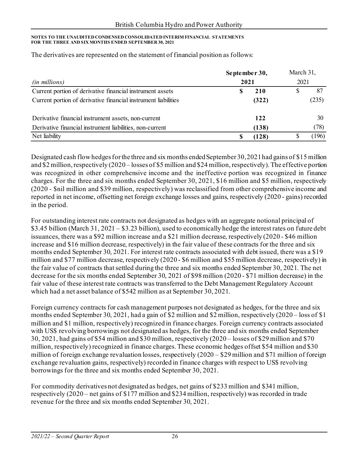|                                                                | September 30, | March 31,<br>2021 |   |       |
|----------------------------------------------------------------|---------------|-------------------|---|-------|
| <i>(in millions)</i>                                           | 2021          |                   |   |       |
| Current portion of derivative financial instrument assets      |               | 210               | P | 87    |
| Current portion of derivative financial instrument liabilities |               | (322)             |   | (235) |
| Derivative financial instrument assets, non-current            |               | 122               |   | 30    |
| Derivative financial instrument liabilities, non-current       |               | (138)             |   | (78)  |
| Net liability                                                  |               | (128)             |   | (196) |

The derivatives are represented on the statement of financial position as follows:

Designated cash flow hedges for the three and six months ended September 30, 2021 had gains of \$15 million and \$2 million, respectively (2020 – losses of \$5 million and \$24 million, respectively). The effective portion was recognized in other comprehensive income and the ineffective portion was recognized in finance charges. For the three and six months ended September 30, 2021, \$16 million and \$5 million, respectively (2020 - \$nil million and \$39 million, respectively) was reclassified from other comprehensive income and reported in net income, offsetting net foreign exchange losses and gains, respectively (2020 - gains) recorded in the period.

For outstanding interest rate contracts not designated as hedges with an aggregate notional principal of \$3.45 billion (March 31, 2021 – \$3.23 billion), used to economically hedge the interest rates on future debt issuances, there was a \$92 million increase and a \$21 million decrease, respectively (2020 - \$46 million increase and \$16 million decrease, respectively) in the fair value of these contracts for the three and six months ended September 30, 2021. For interest rate contracts associated with debt issued, there was a \$19 million and \$77 million decrease, respectively (2020 - \$6 million and \$55 million decrease, respectively) in the fair value of contracts that settled during the three and six months ended September 30, 2021. The net decrease for the six months ended September 30, 2021 of \$98 million (2020 - \$71 million decrease) in the fair value of these interest rate contracts was transferred to the Debt Management Regulatory Account which had a net asset balance of \$542 million as at September 30, 2021.

Foreign currency contracts for cash management purposes not designated as hedges, for the three and six months ended September 30, 2021, had a gain of \$2 million and \$2 million, respectively (2020 – loss of \$1 million and \$1 million, respectively) recognized in finance charges. Foreign currency contracts associated with US\$ revolving borrowings not designated as hedges, for the three and six months ended September 30, 2021, had gains of \$54 million and \$30 million, respectively (2020 – losses of \$29 million and \$70 million, respectively) recognized in finance charges. These economic hedges offset \$54 million and \$30 million of foreign exchange revaluation losses, respectively (2020 – \$29 million and \$71 million of foreign exchange revaluation gains, respectively) recorded in finance charges with respect to US\$ revolving borrowings for the three and six months ended September 30, 2021.

For commodity derivatives not designated as hedges, net gains of \$233 million and \$341 million, respectively (2020 – net gains of \$177 million and \$234 million, respectively) was recorded in trade revenue for the three and six months ended September 30, 2021.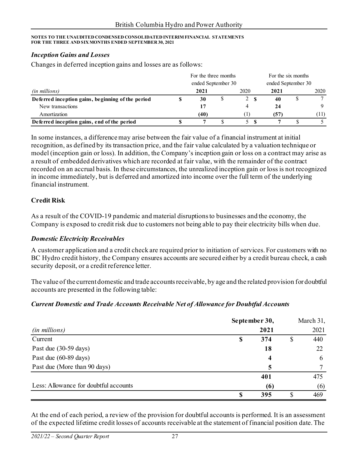#### *Inception Gains and Losses*

Changes in deferred inception gains and losses are as follows:

|                                                   |  | For the three months | For the six months |            |                    |  |      |
|---------------------------------------------------|--|----------------------|--------------------|------------|--------------------|--|------|
|                                                   |  | ended September 30   |                    |            | ended September 30 |  |      |
| <i>(in millions)</i>                              |  | 2021                 |                    | 2020       | 2021               |  | 2020 |
| Deferred inception gains, beginning of the period |  | 30                   | P                  | 2 <b>S</b> | 40                 |  |      |
| New transactions                                  |  |                      |                    |            | 24                 |  |      |
| Amortization                                      |  | (40)                 |                    |            | (57)               |  | (11) |
| Deferred inception gains, end of the period       |  |                      |                    |            |                    |  |      |

In some instances, a difference may arise between the fair value of a financial instrument at initial recognition, as defined by its transaction price, and the fair value calculated by a valuation technique or model (inception gain or loss). In addition, the Company's inception gain or loss on a contract may arise as a result of embedded derivatives which are recorded at fair value, with the remainder of the contract recorded on an accrual basis. In these circumstances, the unrealized inception gain or loss is not recognized in income immediately, but is deferred and amortized into income over the full term of the underlying financial instrument.

#### **Credit Risk**

As a result of the COVID-19 pandemic and material disruptions to businesses and the economy, the Company is exposed to credit risk due to customers not being able to pay their electricity bills when due.

#### *Domestic Electricity Receivables*

A customer application and a credit check are required prior to initiation of services. For customers with no BC Hydro credit history, the Company ensures accounts are secured either by a credit bureau check, a cash security deposit, or a credit reference letter.

The value of the current domestic and trade accounts receivable, by age and the related provision for doubtful accounts are presented in the following table:

#### *Current Domestic and Trade Accounts Receivable Net of Allowance for Doubtful Accounts*

|                                       | September 30, |    |      |
|---------------------------------------|---------------|----|------|
| (in millions)                         | 2021          |    | 2021 |
| Current                               | \$<br>374     | \$ | 440  |
| Past due (30-59 days)                 | 18            |    | 22   |
| Past due (60-89 days)                 | 4             |    | 6    |
| Past due (More than 90 days)          | 5             |    |      |
|                                       | 401           |    | 475  |
| Less: Allowance for doubtful accounts | (6)           |    | (6)  |
|                                       | \$<br>395     | S  | 469  |

At the end of each period, a review of the provision for doubtful accounts is performed. It is an assessment of the expected lifetime credit losses of accounts receivable at the statement of financial position date. The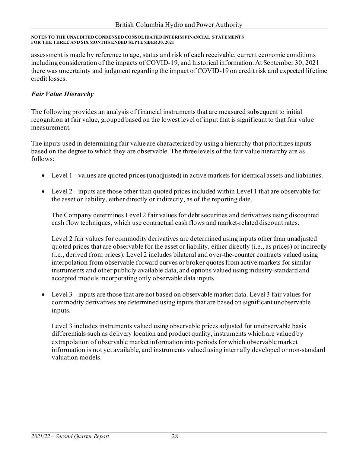assessment is made by reference to age, status and risk of each receivable, current economic conditions including consideration of the impacts of COVID-19, and historical information. At September 30, 2021 there was uncertainty and judgment regarding the impact of COVID-19 on credit risk and expected lifetime credit losses.

### *Fair Value Hierarchy*

The following provides an analysis of financial instruments that are measured subsequent to initial recognition at fair value, grouped based on the lowest level of input that is significant to that fair value measurement.

The inputs used in determining fair value are characterized by using a hierarchy that prioritizes inputs based on the degree to which they are observable. The three levels of the fair value hierarchy are as follows:

- Level 1 values are quoted prices (unadjusted) in active markets for identical assets and liabilities.
- Level 2 inputs are those other than quoted prices included within Level 1 that are observable for the asset or liability, either directly or indirectly, as of the reporting date.

The Company determines Level 2 fair values for debt securities and derivatives using discounted cash flow techniques, which use contractual cash flows and market-related discount rates.

Level 2 fair values for commodity derivatives are determined using inputs other than unadjusted quoted prices that are observable for the asset or liability, either directly (i.e., as prices) or indirectly (i.e., derived from prices). Level 2 includes bilateral and over-the-counter contracts valued using interpolation from observable forward curves or broker quotes from active markets for similar instruments and other publicly available data, and options valued using industry-standard and accepted models incorporating only observable data inputs.

• Level 3 - inputs are those that are not based on observable market data. Level 3 fair values for commodity derivatives are determined using inputs that are based on significant unobservable inputs.

Level 3 includes instruments valued using observable prices adjusted for unobservable basis differentials such as delivery location and product quality, instruments which are valued by extrapolation of observable market information into periods for which observable market information is not yet available, and instruments valued using internally developed or non-standard valuation models.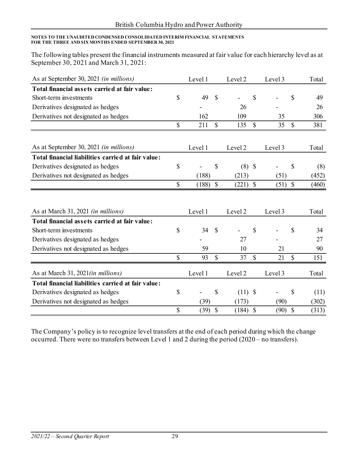The following tables present the financial instruments measured at fair value for each hierarchy level as at September 30, 2021 and March 31, 2021:

| As at September 30, 2021 <i>(in millions)</i>      |              | Level 1 |               | Level <sub>2</sub> |               | Level 3 |               | Total |
|----------------------------------------------------|--------------|---------|---------------|--------------------|---------------|---------|---------------|-------|
| Total financial assets carried at fair value:      |              |         |               |                    |               |         |               |       |
| Short-term investments                             | \$           | 49      | \$            |                    | \$            |         | $\mathcal{S}$ | 49    |
| Derivatives designated as hedges                   |              |         |               | 26                 |               |         |               | 26    |
| Derivatives not designated as hedges               |              | 162     |               | 109                |               | 35      |               | 306   |
|                                                    | \$           | 211     | $\mathbb{S}$  | 135                | $\mathbb{S}$  | 35      | $\mathcal{S}$ | 381   |
|                                                    |              |         |               |                    |               |         |               |       |
| As at September 30, 2021 <i>(in millions)</i>      |              | Level 1 |               | Level <sub>2</sub> |               | Level 3 |               | Total |
| Total financial liabilities carried at fair value: |              |         |               |                    |               |         |               |       |
| Derivatives designated as hedges                   | \$           |         | \$            | $(8)$ \$           |               |         | \$            | (8)   |
| Derivatives not designated as hedges               |              | (188)   |               | (213)              |               | (51)    |               | (452) |
|                                                    | $\mathbb{S}$ | (188)   | $\mathcal{S}$ | $(221)$ \$         |               | (51)    | $\mathcal{S}$ | (460) |
|                                                    |              |         |               |                    |               |         |               |       |
| As at March 31, 2021 (in millions)                 |              | Level 1 |               | Level <sub>2</sub> |               | Level 3 |               | Total |
| Total financial assets carried at fair value:      |              |         |               |                    |               |         |               |       |
| Short-term investments                             | $\mathbb{S}$ | 34      | $\mathcal{S}$ |                    | $\mathbb{S}$  |         | $\mathcal{S}$ | 34    |
| Derivatives designated as hedges                   |              |         |               | 27                 |               |         |               | 27    |
| Derivatives not designated as hedges               |              | 59      |               | 10                 |               | 21      |               | 90    |
|                                                    | \$           | 93      | $\mathbf S$   | 37                 | $\mathbf S$   | 21      | $\mathbf S$   | 151   |
| As at March 31, 2021(in millions)                  |              | Level 1 |               | Level <sub>2</sub> |               | Level 3 |               | Total |
| Total financial liabilities carried at fair value: |              |         |               |                    |               |         |               |       |
| Derivatives designated as hedges                   | \$           |         | \$            | $(11)$ \$          |               |         | \$            | (11)  |
| Derivatives not designated as hedges               |              | (39)    |               | (173)              |               | (90)    |               | (302) |
|                                                    | \$           | (39)    | $\mathcal{S}$ | (184)              | $\mathcal{S}$ | (90)    | $\mathcal{S}$ | (313) |

The Company's policy is to recognize level transfers at the end of each period during which the change occurred. There were no transfers between Level 1 and 2 during the period (2020 – no transfers).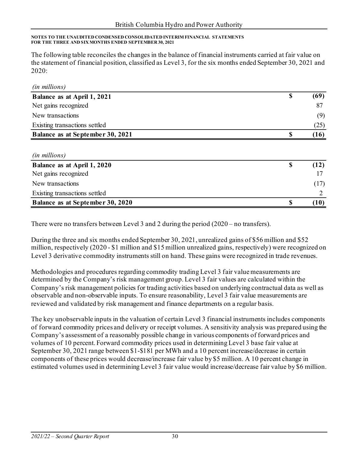The following table reconciles the changes in the balance of financial instruments carried at fair value on the statement of financial position, classified as Level 3, for the six months ended September 30, 2021 and 2020:

| <i>(in millions)</i>                    |      |
|-----------------------------------------|------|
| Balance as at April 1, 2021             | (69) |
| Net gains recognized                    | -87  |
| New transactions                        | (9)  |
| Existing transactions settled           | (25) |
| <b>Balance as at September 30, 2021</b> | (16) |

| ( <i>in millions</i> )           |      |
|----------------------------------|------|
| Balance as at April 1, 2020      | (12) |
| Net gains recognized             |      |
| New transactions                 | (17) |
| Existing transactions settled    |      |
| Balance as at September 30, 2020 | 10   |

There were no transfers between Level 3 and 2 during the period (2020 – no transfers).

During the three and six months ended September 30, 2021, unrealized gains of \$56 million and \$52 million, respectively (2020 - \$1 million and \$15 million unrealized gains, respectively) were recognized on Level 3 derivative commodity instruments still on hand. These gains were recognized in trade revenues.

Methodologies and procedures regarding commodity trading Level 3 fair value measurements are determined by the Company's risk management group. Level 3 fair values are calculated within the Company's risk management policies for trading activities based on underlying contractual data as well as observable and non-observable inputs. To ensure reasonability, Level 3 fair value measurements are reviewed and validated by risk management and finance departments on a regular basis.

The key unobservable inputs in the valuation of certain Level 3 financial instruments includes components of forward commodity prices and delivery or receipt volumes. A sensitivity analysis was prepared using the Company's assessment of a reasonably possible change in various components of forward prices and volumes of 10 percent. Forward commodity prices used in determining Level 3 base fair value at September 30, 2021 range between \$1-\$181 per MWh and a 10 percent increase/decrease in certain components of these prices would decrease/increase fair value by \$5 million. A 10 percent change in estimated volumes used in determining Level 3 fair value would increase/decrease fair value by \$6 million.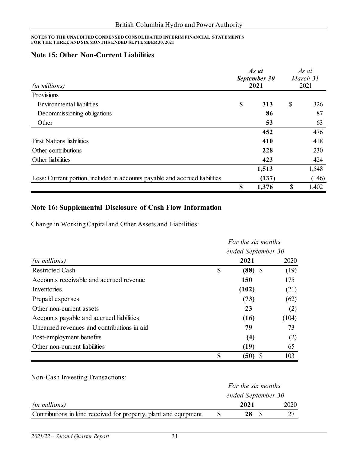### **Note 15: Other Non-Current Liabilities**

| (in millions)                                                               | As at<br>September 30<br>2021 |       | As at<br>March 31<br>2021 |       |
|-----------------------------------------------------------------------------|-------------------------------|-------|---------------------------|-------|
| Provisions                                                                  |                               |       |                           |       |
| Environmental liabilities                                                   | \$                            | 313   | \$                        | 326   |
| Decommissioning obligations                                                 |                               | 86    |                           | 87    |
| Other                                                                       |                               | 53    |                           | 63    |
|                                                                             |                               | 452   |                           | 476   |
| <b>First Nations liabilities</b>                                            |                               | 410   |                           | 418   |
| Other contributions                                                         |                               | 228   |                           | 230   |
| Other liabilities                                                           |                               | 423   |                           | 424   |
|                                                                             |                               | 1,513 |                           | 1,548 |
| Less: Current portion, included in accounts payable and accrued liabilities |                               | (137) |                           | (146) |
|                                                                             | S                             | 1,376 | \$                        | 1,402 |

### **Note 16: Supplemental Disclosure of Cash Flow Information**

Change in Working Capital and Other Assets and Liabilities:

|                                            |    | For the six months<br>ended September 30 |       |  |  |  |
|--------------------------------------------|----|------------------------------------------|-------|--|--|--|
|                                            |    |                                          |       |  |  |  |
| <i>(in millions)</i>                       |    | 2021                                     | 2020  |  |  |  |
| Restricted Cash                            | \$ | $(88)$ \$                                | (19)  |  |  |  |
| Accounts receivable and accrued revenue    |    | 150                                      | 175   |  |  |  |
| Inventories                                |    | (102)                                    | (21)  |  |  |  |
| Prepaid expenses                           |    | (73)                                     | (62)  |  |  |  |
| Other non-current assets                   |    | 23                                       | (2)   |  |  |  |
| Accounts payable and accrued liabilities   |    | (16)                                     | (104) |  |  |  |
| Unearned revenues and contributions in aid |    | 79                                       | 73    |  |  |  |
| Post-employment benefits                   |    | (4)                                      | (2)   |  |  |  |
| Other non-current liabilities              |    | (19)                                     | 65    |  |  |  |
|                                            | \$ | (50)                                     | 103   |  |  |  |

Non-Cash Investing Transactions:

|                                                                  | For the six months |      |      |  |
|------------------------------------------------------------------|--------------------|------|------|--|
|                                                                  | ended September 30 |      |      |  |
| <i>(in millions)</i>                                             |                    | 2021 | 2020 |  |
| Contributions in kind received for property, plant and equipment |                    | 28   |      |  |